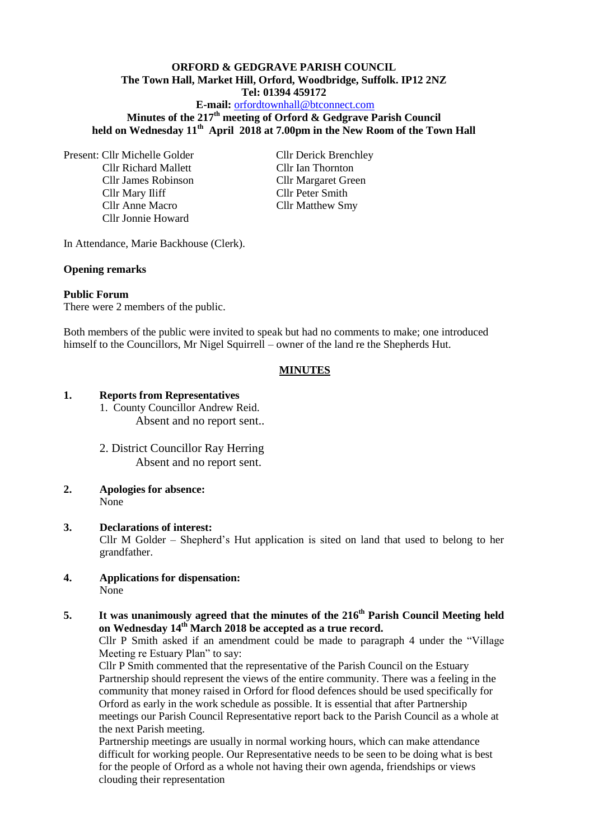#### **ORFORD & GEDGRAVE PARISH COUNCIL The Town Hall, Market Hill, Orford, Woodbridge, Suffolk. IP12 2NZ Tel: 01394 459172**

**E-mail:** [orfordtownhall@btconnect.com](mailto:orfordtownhall@btconnect.com)

**Minutes of the 217 th meeting of Orford & Gedgrave Parish Council held on Wednesday 11th April 2018 at 7.00pm in the New Room of the Town Hall**

Present: Cllr Michelle Golder Cllr Derick Brenchley Cllr Richard Mallett Cllr Ian Thornton Cllr James Robinson Cllr Margaret Green Cllr Mary Iliff Cllr Peter Smith Cllr Anne Macro Cllr Matthew Smy Cllr Jonnie Howard

In Attendance, Marie Backhouse (Clerk).

## **Opening remarks**

#### **Public Forum**

There were 2 members of the public.

Both members of the public were invited to speak but had no comments to make; one introduced himself to the Councillors, Mr Nigel Squirrell – owner of the land re the Shepherds Hut.

## **MINUTES**

#### **1. Reports from Representatives**

- 1. County Councillor Andrew Reid. Absent and no report sent..
- 2. District Councillor Ray Herring Absent and no report sent.
- **2. Apologies for absence:** None
- **3. Declarations of interest:**

Cllr M Golder – Shepherd's Hut application is sited on land that used to belong to her grandfather.

**4. Applications for dispensation:** None

# **5.** It was unanimously agreed that the minutes of the 216<sup>th</sup> Parish Council Meeting held **on Wednesday 14th March 2018 be accepted as a true record.**

Cllr P Smith asked if an amendment could be made to paragraph 4 under the "Village Meeting re Estuary Plan" to say:

Cllr P Smith commented that the representative of the Parish Council on the Estuary Partnership should represent the views of the entire community. There was a feeling in the community that money raised in Orford for flood defences should be used specifically for Orford as early in the work schedule as possible. It is essential that after Partnership meetings our Parish Council Representative report back to the Parish Council as a whole at the next Parish meeting.

Partnership meetings are usually in normal working hours, which can make attendance difficult for working people. Our Representative needs to be seen to be doing what is best for the people of Orford as a whole not having their own agenda, friendships or views clouding their representation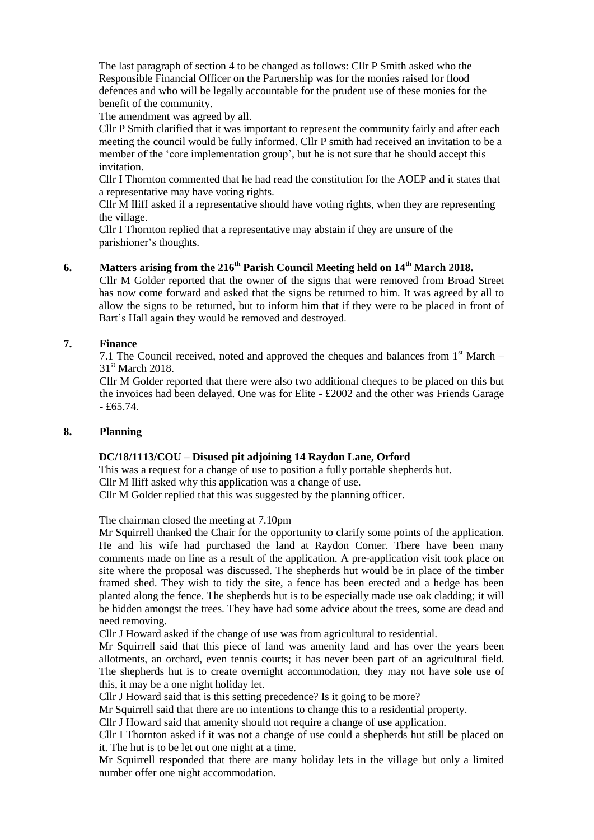The last paragraph of section 4 to be changed as follows: Cllr P Smith asked who the Responsible Financial Officer on the Partnership was for the monies raised for flood defences and who will be legally accountable for the prudent use of these monies for the benefit of the community.

The amendment was agreed by all.

Cllr P Smith clarified that it was important to represent the community fairly and after each meeting the council would be fully informed. Cllr P smith had received an invitation to be a member of the 'core implementation group', but he is not sure that he should accept this invitation.

Cllr I Thornton commented that he had read the constitution for the AOEP and it states that a representative may have voting rights.

Cllr M Iliff asked if a representative should have voting rights, when they are representing the village.

Cllr I Thornton replied that a representative may abstain if they are unsure of the parishioner's thoughts.

# **6. Matters arising from the 216 th Parish Council Meeting held on 14th March 2018.**

Cllr M Golder reported that the owner of the signs that were removed from Broad Street has now come forward and asked that the signs be returned to him. It was agreed by all to allow the signs to be returned, but to inform him that if they were to be placed in front of Bart's Hall again they would be removed and destroyed.

#### **7. Finance**

7.1 The Council received, noted and approved the cheques and balances from  $1<sup>st</sup>$  March – 31<sup>st</sup> March 2018.

Cllr M Golder reported that there were also two additional cheques to be placed on this but the invoices had been delayed. One was for Elite - £2002 and the other was Friends Garage  $- f65.74.$ 

#### **8. Planning**

## **DC/18/1113/COU – Disused pit adjoining 14 Raydon Lane, Orford**

This was a request for a change of use to position a fully portable shepherds hut. Cllr M Iliff asked why this application was a change of use. Cllr M Golder replied that this was suggested by the planning officer.

The chairman closed the meeting at 7.10pm

Mr Squirrell thanked the Chair for the opportunity to clarify some points of the application. He and his wife had purchased the land at Raydon Corner. There have been many comments made on line as a result of the application. A pre-application visit took place on site where the proposal was discussed. The shepherds hut would be in place of the timber framed shed. They wish to tidy the site, a fence has been erected and a hedge has been planted along the fence. The shepherds hut is to be especially made use oak cladding; it will be hidden amongst the trees. They have had some advice about the trees, some are dead and need removing.

Cllr J Howard asked if the change of use was from agricultural to residential.

Mr Squirrell said that this piece of land was amenity land and has over the years been allotments, an orchard, even tennis courts; it has never been part of an agricultural field. The shepherds hut is to create overnight accommodation, they may not have sole use of this, it may be a one night holiday let.

Cllr J Howard said that is this setting precedence? Is it going to be more?

Mr Squirrell said that there are no intentions to change this to a residential property.

Cllr J Howard said that amenity should not require a change of use application.

Cllr I Thornton asked if it was not a change of use could a shepherds hut still be placed on it. The hut is to be let out one night at a time.

Mr Squirrell responded that there are many holiday lets in the village but only a limited number offer one night accommodation.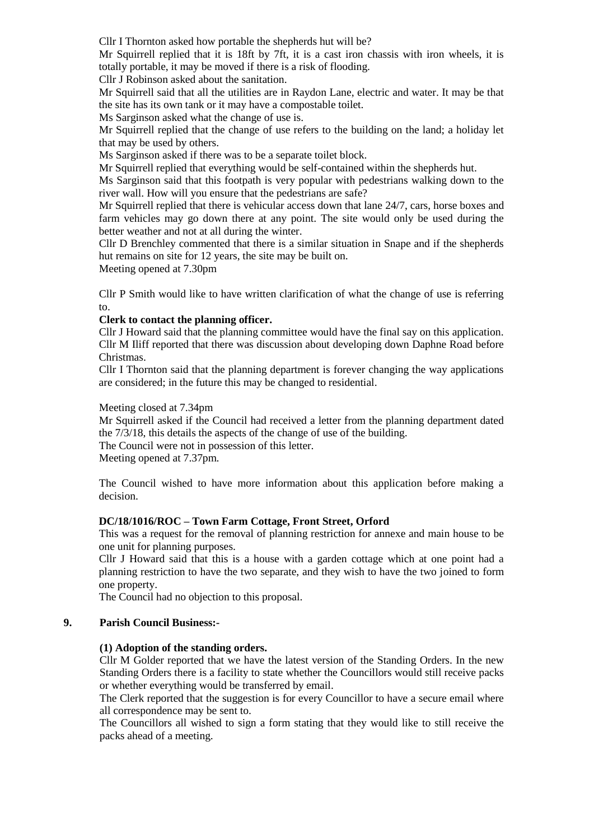Cllr I Thornton asked how portable the shepherds hut will be?

Mr Squirrell replied that it is 18ft by 7ft, it is a cast iron chassis with iron wheels, it is totally portable, it may be moved if there is a risk of flooding.

Cllr J Robinson asked about the sanitation.

Mr Squirrell said that all the utilities are in Raydon Lane, electric and water. It may be that the site has its own tank or it may have a compostable toilet.

Ms Sarginson asked what the change of use is.

Mr Squirrell replied that the change of use refers to the building on the land; a holiday let that may be used by others.

Ms Sarginson asked if there was to be a separate toilet block.

Mr Squirrell replied that everything would be self-contained within the shepherds hut.

Ms Sarginson said that this footpath is very popular with pedestrians walking down to the river wall. How will you ensure that the pedestrians are safe?

Mr Squirrell replied that there is vehicular access down that lane 24/7, cars, horse boxes and farm vehicles may go down there at any point. The site would only be used during the better weather and not at all during the winter.

Cllr D Brenchley commented that there is a similar situation in Snape and if the shepherds hut remains on site for 12 years, the site may be built on.

Meeting opened at 7.30pm

Cllr P Smith would like to have written clarification of what the change of use is referring to.

#### **Clerk to contact the planning officer.**

Cllr J Howard said that the planning committee would have the final say on this application. Cllr M Iliff reported that there was discussion about developing down Daphne Road before Christmas.

Cllr I Thornton said that the planning department is forever changing the way applications are considered; in the future this may be changed to residential.

#### Meeting closed at 7.34pm

Mr Squirrell asked if the Council had received a letter from the planning department dated the 7/3/18, this details the aspects of the change of use of the building.

The Council were not in possession of this letter.

Meeting opened at 7.37pm.

The Council wished to have more information about this application before making a decision.

## **DC/18/1016/ROC – Town Farm Cottage, Front Street, Orford**

This was a request for the removal of planning restriction for annexe and main house to be one unit for planning purposes.

Cllr J Howard said that this is a house with a garden cottage which at one point had a planning restriction to have the two separate, and they wish to have the two joined to form one property.

The Council had no objection to this proposal.

## **9. Parish Council Business:-**

## **(1) Adoption of the standing orders.**

Cllr M Golder reported that we have the latest version of the Standing Orders. In the new Standing Orders there is a facility to state whether the Councillors would still receive packs or whether everything would be transferred by email.

The Clerk reported that the suggestion is for every Councillor to have a secure email where all correspondence may be sent to.

The Councillors all wished to sign a form stating that they would like to still receive the packs ahead of a meeting.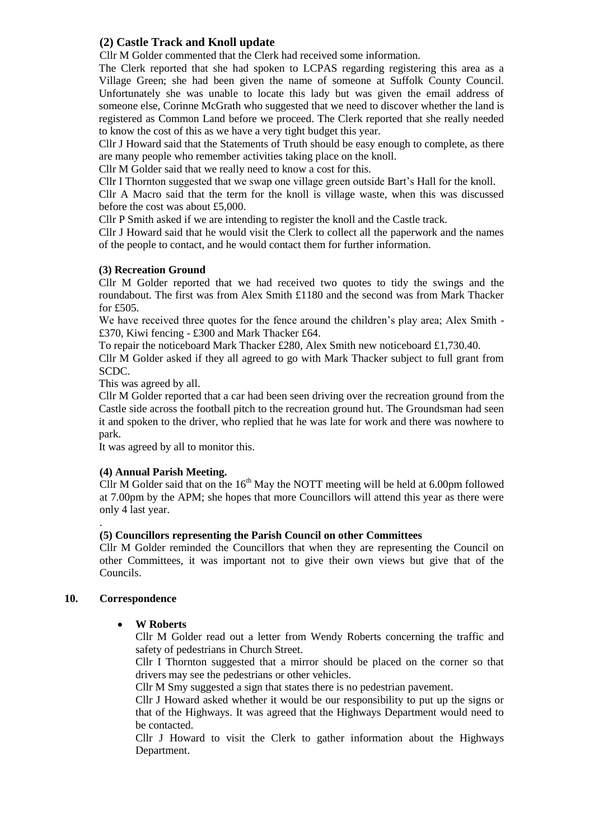# **(2) Castle Track and Knoll update**

Cllr M Golder commented that the Clerk had received some information.

The Clerk reported that she had spoken to LCPAS regarding registering this area as a Village Green; she had been given the name of someone at Suffolk County Council. Unfortunately she was unable to locate this lady but was given the email address of someone else, Corinne McGrath who suggested that we need to discover whether the land is registered as Common Land before we proceed. The Clerk reported that she really needed to know the cost of this as we have a very tight budget this year.

Cllr J Howard said that the Statements of Truth should be easy enough to complete, as there are many people who remember activities taking place on the knoll.

Cllr M Golder said that we really need to know a cost for this.

Cllr I Thornton suggested that we swap one village green outside Bart's Hall for the knoll.

Cllr A Macro said that the term for the knoll is village waste, when this was discussed before the cost was about £5,000.

Cllr P Smith asked if we are intending to register the knoll and the Castle track.

Cllr J Howard said that he would visit the Clerk to collect all the paperwork and the names of the people to contact, and he would contact them for further information.

# **(3) Recreation Ground**

Cllr M Golder reported that we had received two quotes to tidy the swings and the roundabout. The first was from Alex Smith £1180 and the second was from Mark Thacker for £505.

We have received three quotes for the fence around the children's play area; Alex Smith - £370, Kiwi fencing - £300 and Mark Thacker £64.

To repair the noticeboard Mark Thacker £280, Alex Smith new noticeboard £1,730.40.

Cllr M Golder asked if they all agreed to go with Mark Thacker subject to full grant from SCDC.

This was agreed by all.

Cllr M Golder reported that a car had been seen driving over the recreation ground from the Castle side across the football pitch to the recreation ground hut. The Groundsman had seen it and spoken to the driver, who replied that he was late for work and there was nowhere to park.

It was agreed by all to monitor this.

# **(4) Annual Parish Meeting.**

Cllr M Golder said that on the  $16<sup>th</sup>$  May the NOTT meeting will be held at 6.00pm followed at 7.00pm by the APM; she hopes that more Councillors will attend this year as there were only 4 last year.

## **(5) Councillors representing the Parish Council on other Committees**

Cllr M Golder reminded the Councillors that when they are representing the Council on other Committees, it was important not to give their own views but give that of the Councils.

## **10. Correspondence**

.

## **W Roberts**

Cllr M Golder read out a letter from Wendy Roberts concerning the traffic and safety of pedestrians in Church Street.

Cllr I Thornton suggested that a mirror should be placed on the corner so that drivers may see the pedestrians or other vehicles.

Cllr M Smy suggested a sign that states there is no pedestrian pavement.

Cllr J Howard asked whether it would be our responsibility to put up the signs or that of the Highways. It was agreed that the Highways Department would need to be contacted.

Cllr J Howard to visit the Clerk to gather information about the Highways Department.